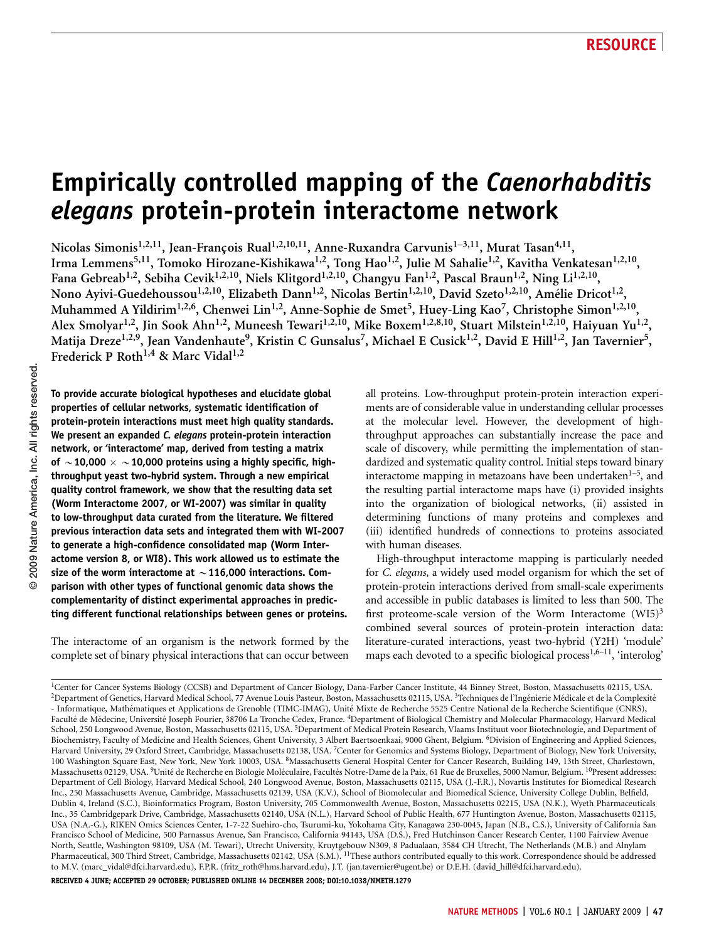# Empirically controlled mapping of the Caenorhabditis elegans protein-protein interactome network

Nicolas Simonis<sup>1,2,11</sup>, Jean-Francois Rual<sup>1,2,10,11</sup>, Anne-Ruxandra Carvunis<sup>1–3,11</sup>, Murat Tasan<sup>4,11</sup>, Irma Lemmens<sup>5,11</sup>, Tomoko Hirozane-Kishikawa<sup>1,2</sup>, Tong Hao<sup>1,2</sup>, Julie M Sahalie<sup>1,2</sup>, Kavitha Venkatesan<sup>1,2,10</sup>, Fana Gebreab<sup>1,2</sup>, Sebiha Cevik<sup>1,2,10</sup>, Niels Klitgord<sup>1,2,10</sup>, Changyu Fan<sup>1,2</sup>, Pascal Braun<sup>1,2</sup>, Ning Li<sup>1,2,10</sup>, Nono Ayivi-Guedehoussou<sup>1,2,10</sup>, Elizabeth Dann<sup>1,2</sup>, Nicolas Bertin<sup>1,2,10</sup>, David Szeto<sup>1,2,10</sup>, Amélie Dricot<sup>1,2</sup>, Muhammed A Yildirim<sup>1,2,6</sup>, Chenwei Lin<sup>1,2</sup>, Anne-Sophie de Smet<sup>5</sup>, Huey-Ling Kao<sup>7</sup>, Christophe Simon<sup>1,2,10</sup>, Alex Smolyar<sup>1,2</sup>, Jin Sook Ahn<sup>1,2</sup>, Muneesh Tewari<sup>1,2,10</sup>, Mike Boxem<sup>1,2,8,10</sup>, Stuart Milstein<sup>1,2,10</sup>, Haiyuan Yu<sup>1,2</sup>, Matija Dreze<sup>1,2,9</sup>, Jean Vandenhaute<sup>9</sup>, Kristin C Gunsalus<sup>7</sup>, Michael E Cusick<sup>1,2</sup>, David E Hill<sup>1,2</sup>, Jan Tavernier<sup>5</sup>, Frederick P Roth<sup>1,4</sup> & Marc Vidal<sup>1,2</sup>

To provide accurate biological hypotheses and elucidate global properties of cellular networks, systematic identification of protein-protein interactions must meet high quality standards. We present an expanded C. elegans protein-protein interaction network, or 'interactome' map, derived from testing a matrix of  $\sim$  10,000  $\times$   $\sim$  10,000 proteins using a highly specific, highthroughput yeast two-hybrid system. Through a new empirical quality control framework, we show that the resulting data set (Worm Interactome 2007, or WI-2007) was similar in quality to low-throughput data curated from the literature. We filtered previous interaction data sets and integrated them with WI-2007 to generate a high-confidence consolidated map (Worm Interactome version 8, or WI8). This work allowed us to estimate the size of the worm interactome at  $\sim$  116,000 interactions. Comparison with other types of functional genomic data shows the complementarity of distinct experimental approaches in predicting different functional relationships between genes or proteins.

The interactome of an organism is the network formed by the complete set of binary physical interactions that can occur between

all proteins. Low-throughput protein-protein interaction experiments are of considerable value in understanding cellular processes at the molecular level. However, the development of highthroughput approaches can substantially increase the pace and scale of discovery, while permitting the implementation of standardized and systematic quality control. Initial steps toward binary interactome mapping in metazoans have been undertaken $1-5$ , and the resulting partial interactome maps have (i) provided insights into the organization of biological networks, (ii) assisted in determining functions of many proteins and complexes and (iii) identified hundreds of connections to proteins associated with human diseases.

High-throughput interactome mapping is particularly needed for C. elegans, a widely used model organism for which the set of protein-protein interactions derived from small-scale experiments and accessible in public databases is limited to less than 500. The first proteome-scale version of the Worm Interactome  $(WI5)^3$ combined several sources of protein-protein interaction data: literature-curated interactions, yeast two-hybrid (Y2H) 'module' maps each devoted to a specific biological process<sup>1,6–11</sup>, 'interolog'

RECEIVED 4 JUNE; ACCEPTED 29 OCTOBER; PUBLISHED ONLINE 14 DECEMBER 2008; [DOI:10.1038/NMETH.1279](http://www.nature.com/doifinder/10.1038/NMETH.1279)

<sup>&</sup>lt;sup>1</sup>Center for Cancer Systems Biology (CCSB) and Department of Cancer Biology, Dana-Farber Cancer Institute, 44 Binney Street, Boston, Massachusetts 02115, USA. <sup>2</sup>Department of Genetics, Harvard Medical School, 77 Avenue Louis Pasteur, Boston, Massachusetts 02115, USA. <sup>3</sup>Techniques de l'Ingénierie Médicale et de la Complexité - Informatique, Mathématiques et Applications de Grenoble (TIMC-IMAG), Unité Mixte de Recherche 5525 Centre National de la Recherche Scientifique (CNRS), Faculté de Médecine, Université Joseph Fourier, 38706 La Tronche Cedex, France. <sup>4</sup>Department of Biological Chemistry and Molecular Pharmacology, Harvard Medical School, 250 Longwood Avenue, Boston, Massachusetts 02115, USA. <sup>5</sup>Department of Medical Protein Research, Vlaams Instituut voor Biotechnologie, and Department of Biochemistry, Faculty of Medicine and Health Sciences, Ghent University, 3 Albert Baertsoenkaai, 9000 Ghent, Belgium. 6Division of Engineering and Applied Sciences, Harvard University, 29 Oxford Street, Cambridge, Massachusetts 02138, USA. 7Center for Genomics and Systems Biology, Department of Biology, New York University, 100 Washington Square East, New York, New York 10003, USA. <sup>8</sup>Massachusetts General Hospital Center for Cancer Research, Building 149, 13th Street, Charlestown, Massachusetts 02129, USA. <sup>9</sup>Unité de Recherche en Biologie Moléculaire, Facultés Notre-Dame de la Paix, 61 Rue de Bruxelles, 5000 Namur, Belgium. <sup>10</sup>Present addresses: Department of Cell Biology, Harvard Medical School, 240 Longwood Avenue, Boston, Massachusetts 02115, USA (J.-F.R.), Novartis Institutes for Biomedical Research Inc., 250 Massachusetts Avenue, Cambridge, Massachusetts 02139, USA (K.V.), School of Biomolecular and Biomedical Science, University College Dublin, Belfield, Dublin 4, Ireland (S.C.), Bioinformatics Program, Boston University, 705 Commonwealth Avenue, Boston, Massachusetts 02215, USA (N.K.), Wyeth Pharmaceuticals Inc., 35 Cambridgepark Drive, Cambridge, Massachusetts 02140, USA (N.L.), Harvard School of Public Health, 677 Huntington Avenue, Boston, Massachusetts 02115, USA (N.A.-G.), RIKEN Omics Sciences Center, 1-7-22 Suehiro-cho, Tsurumi-ku, Yokohama City, Kanagawa 230-0045, Japan (N.B., C.S.), University of California San Francisco School of Medicine, 500 Parnassus Avenue, San Francisco, California 94143, USA (D.S.), Fred Hutchinson Cancer Research Center, 1100 Fairview Avenue North, Seattle, Washington 98109, USA (M. Tewari), Utrecht University, Kruytgebouw N309, 8 Padualaan, 3584 CH Utrecht, The Netherlands (M.B.) and Alnylam Pharmaceutical, 300 Third Street, Cambridge, Massachusetts 02142, USA (S.M.). <sup>11</sup>These authors contributed equally to this work. Correspondence should be addressed to M.V. [\(marc\\_vidal@dfci.harvard.edu\)](mailto:marc_vidal@dfci.harvard.edu), F.P.R. [\(fritz\\_roth@hms.harvard.edu\)](mailto:fritz_roth@hms.harvard.edu), J.T. ([jan.tavernier@ugent.be\)](mailto:jan.tavernier@ugent.be) or D.E.H. [\(david\\_hill@dfci.harvard.edu](mailto:david_hill@dfci.harvard.edu)).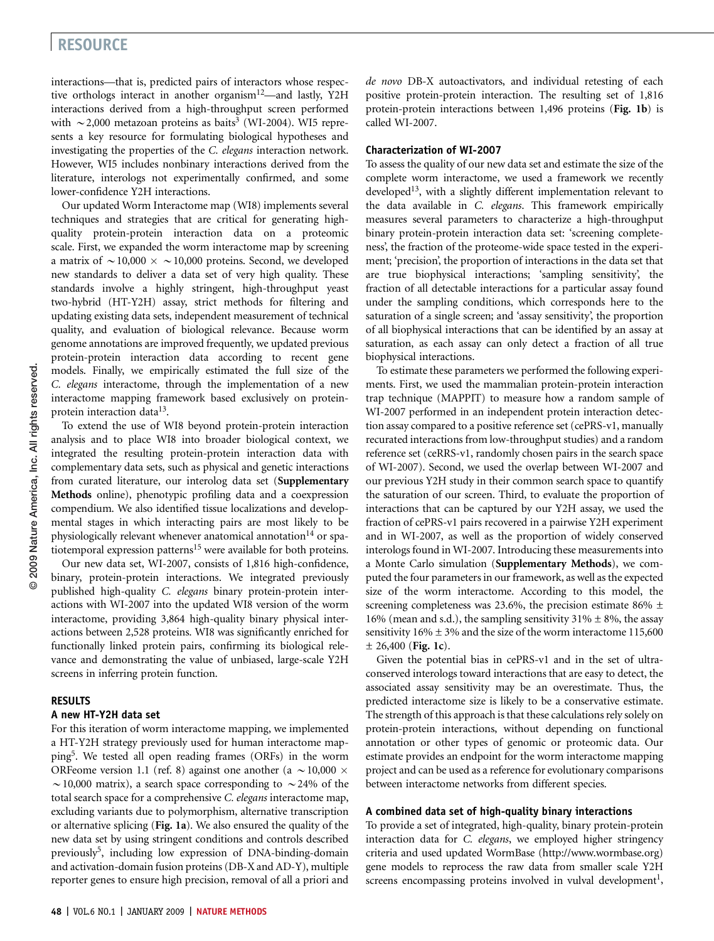interactions—that is, predicted pairs of interactors whose respective orthologs interact in another organism<sup>12</sup>—and lastly, Y2H interactions derived from a high-throughput screen performed with  $\sim$  2,000 metazoan proteins as baits<sup>[3](#page-7-0)</sup> (WI-2004). WI5 represents a key resource for formulating biological hypotheses and investigating the properties of the C. elegans interaction network. However, WI5 includes nonbinary interactions derived from the literature, interologs not experimentally confirmed, and some lower-confidence Y2H interactions.

Our updated Worm Interactome map (WI8) implements several techniques and strategies that are critical for generating highquality protein-protein interaction data on a proteomic scale. First, we expanded the worm interactome map by screening a matrix of  $\sim$  10,000  $\times \sim$  10,000 proteins. Second, we developed new standards to deliver a data set of very high quality. These standards involve a highly stringent, high-throughput yeast two-hybrid (HT-Y2H) assay, strict methods for filtering and updating existing data sets, independent measurement of technical quality, and evaluation of biological relevance. Because worm genome annotations are improved frequently, we updated previous protein-protein interaction data according to recent gene models. Finally, we empirically estimated the full size of the C. elegans interactome, through the implementation of a new interactome mapping framework based exclusively on protein-protein interaction data<sup>[13](#page-7-0)</sup>.

To extend the use of WI8 beyond protein-protein interaction analysis and to place WI8 into broader biological context, we integrated the resulting protein-protein interaction data with complementary data sets, such as physical and genetic interactions from curated literature, our interolog data set (Supplementary Methods online), phenotypic profiling data and a coexpression compendium. We also identified tissue localizations and developmental stages in which interacting pairs are most likely to be physiologically relevant whenever anatomical annotation<sup>14</sup> or spa-tiotemporal expression patterns<sup>[15](#page-7-0)</sup> were available for both proteins.

Our new data set, WI-2007, consists of 1,816 high-confidence, binary, protein-protein interactions. We integrated previously published high-quality C. elegans binary protein-protein interactions with WI-2007 into the updated WI8 version of the worm interactome, providing 3,864 high-quality binary physical interactions between 2,528 proteins. WI8 was significantly enriched for functionally linked protein pairs, confirming its biological relevance and demonstrating the value of unbiased, large-scale Y2H screens in inferring protein function.

## **RESULTS**

#### A new HT-Y2H data set

For this iteration of worm interactome mapping, we implemented a HT-Y2H strategy previously used for human interactome mappin[g5.](#page-7-0) We tested all open reading frames (ORFs) in the worm ORFeome version 1.1 (ref. 8) against one another (a  $\sim$  10,000  $\times$  $\sim$  10,000 matrix), a search space corresponding to  $\sim$  24% of the total search space for a comprehensive C. elegans interactome map, excluding variants due to polymorphism, alternative transcription or alternative splicing (Fig. 1a). We also ensured the quality of the new data set by using stringent conditions and controls described previously[5](#page-7-0), including low expression of DNA-binding-domain and activation-domain fusion proteins (DB-X and AD-Y), multiple reporter genes to ensure high precision, removal of all a priori and

de novo DB-X autoactivators, and individual retesting of each positive protein-protein interaction. The resulting set of 1,816 protein-protein interactions between 1,496 proteins (Fig. 1b) is called WI-2007.

### Characterization of WI-2007

To assess the quality of our new data set and estimate the size of the complete worm interactome, we used a framework we recently developed $13$ , with a slightly different implementation relevant to the data available in C. elegans. This framework empirically measures several parameters to characterize a high-throughput binary protein-protein interaction data set: 'screening completeness', the fraction of the proteome-wide space tested in the experiment; 'precision', the proportion of interactions in the data set that are true biophysical interactions; 'sampling sensitivity', the fraction of all detectable interactions for a particular assay found under the sampling conditions, which corresponds here to the saturation of a single screen; and 'assay sensitivity', the proportion of all biophysical interactions that can be identified by an assay at saturation, as each assay can only detect a fraction of all true biophysical interactions.

To estimate these parameters we performed the following experiments. First, we used the mammalian protein-protein interaction trap technique (MAPPIT) to measure how a random sample of WI-2007 performed in an independent protein interaction detection assay compared to a positive reference set (cePRS-v1, manually recurated interactions from low-throughput studies) and a random reference set (ceRRS-v1, randomly chosen pairs in the search space of WI-2007). Second, we used the overlap between WI-2007 and our previous Y2H study in their common search space to quantify the saturation of our screen. Third, to evaluate the proportion of interactions that can be captured by our Y2H assay, we used the fraction of cePRS-v1 pairs recovered in a pairwise Y2H experiment and in WI-2007, as well as the proportion of widely conserved interologs found in WI-2007. Introducing these measurements into a Monte Carlo simulation (Supplementary Methods), we computed the four parameters in our framework, as well as the expected size of the worm interactome. According to this model, the screening completeness was 23.6%, the precision estimate 86%  $\pm$ 16% (mean and s.d.), the sampling sensitivity 31%  $\pm$  8%, the assay sensitivity  $16\% \pm 3\%$  and the size of the worm interactome 115,600  $± 26,400$  (Fig. 1c).

Given the potential bias in cePRS-v1 and in the set of ultraconserved interologs toward interactions that are easy to detect, the associated assay sensitivity may be an overestimate. Thus, the predicted interactome size is likely to be a conservative estimate. The strength of this approach is that these calculations rely solely on protein-protein interactions, without depending on functional annotation or other types of genomic or proteomic data. Our estimate provides an endpoint for the worm interactome mapping project and can be used as a reference for evolutionary comparisons between interactome networks from different species.

#### A combined data set of high-quality binary interactions

To provide a set of integrated, high-quality, binary protein-protein interaction data for C. elegans, we employed higher stringency criteria and used updated WormBase [\(http://www.wormbase.org](http://www.wormbase.org)) gene models to reprocess the raw data from smaller scale Y2H screens encompassing proteins involved in vulval development<sup>1</sup>,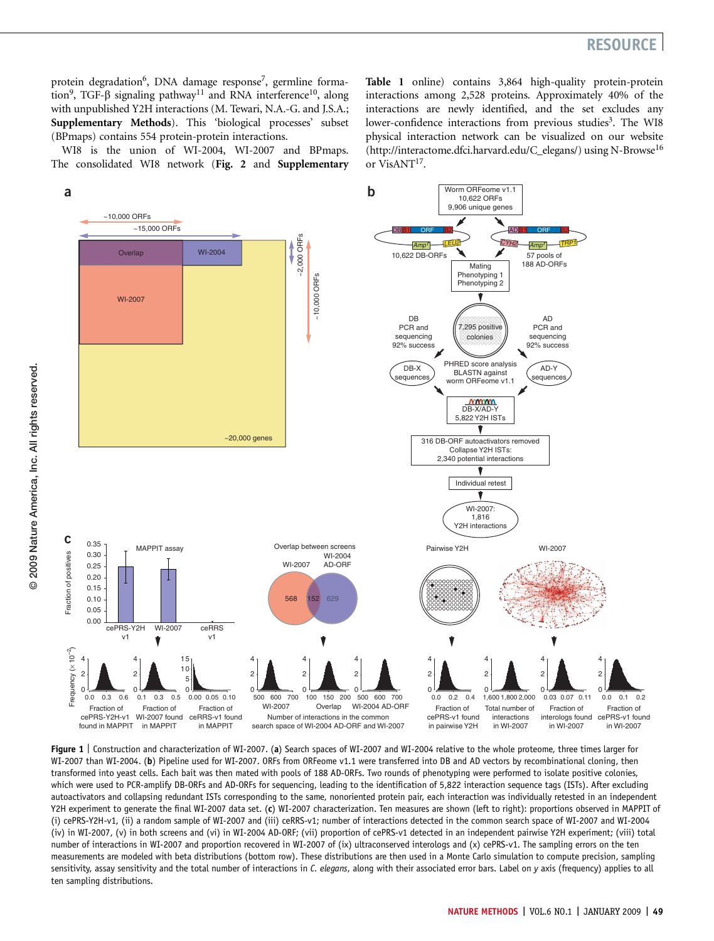protein degradation<sup>6</sup>, DNA damage response<sup>7</sup>, germline forma-tion<sup>[9](#page-7-0)</sup>, TGF- $\beta$  signaling pathway<sup>11</sup> and RNA interference<sup>10</sup>, along with unpublished Y2H interactions (M. Tewari, N.A.-G. and J.S.A.; Supplementary Methods). This 'biological processes' subset (BPmaps) contains 554 protein-protein interactions.

WI8 is the union of WI-2004, WI-2007 and BPmaps. The consolidated WI8 network (Fig. 2 and Supplementary

Table 1 online) contains 3,864 high-quality protein-protein interactions among 2,528 proteins. Approximately 40% of the interactions are newly identified, and the set excludes any lower-confidence interactions from previous studies<sup>3</sup>. The WI8 physical interaction network can be visualized on our website ([http://interactome.dfci.harvard.edu/C\\_elegans/\)](http://interactome.dfci.harvard.edu/C_elegans/) using N-Browse<sup>16</sup> or VisANT<sup>17</sup>.



Figure 1 | Construction and characterization of WI-2007. (a) Search spaces of WI-2007 and WI-2004 relative to the whole proteome, three times larger for WI-2007 than WI-2004. (b) Pipeline used for WI-2007. ORFs from ORFeome v1.1 were transferred into DB and AD vectors by recombinational cloning, then transformed into yeast cells. Each bait was then mated with pools of 188 AD-ORFs. Two rounds of phenotyping were performed to isolate positive colonies, which were used to PCR-amplify DB-ORFs and AD-ORFs for sequencing, leading to the identification of 5,822 interaction sequence tags (ISTs). After excluding autoactivators and collapsing redundant ISTs corresponding to the same, nonoriented protein pair, each interaction was individually retested in an independent Y2H experiment to generate the final WI-2007 data set. (c) WI-2007 characterization. Ten measures are shown (left to right): proportions observed in MAPPIT of (i) cePRS-Y2H-v1, (ii) a random sample of WI-2007 and (iii) ceRRS-v1; number of interactions detected in the common search space of WI-2007 and WI-2004 (iv) in WI-2007, (v) in both screens and (vi) in WI-2004 AD-ORF; (vii) proportion of cePRS-v1 detected in an independent pairwise Y2H experiment; (viii) total number of interactions in WI-2007 and proportion recovered in WI-2007 of (ix) ultraconserved interologs and (x) cePRS-v1. The sampling errors on the ten measurements are modeled with beta distributions (bottom row). These distributions are then used in a Monte Carlo simulation to compute precision, sampling sensitivity, assay sensitivity and the total number of interactions in C. elegans, along with their associated error bars. Label on y axis (frequency) applies to all ten sampling distributions.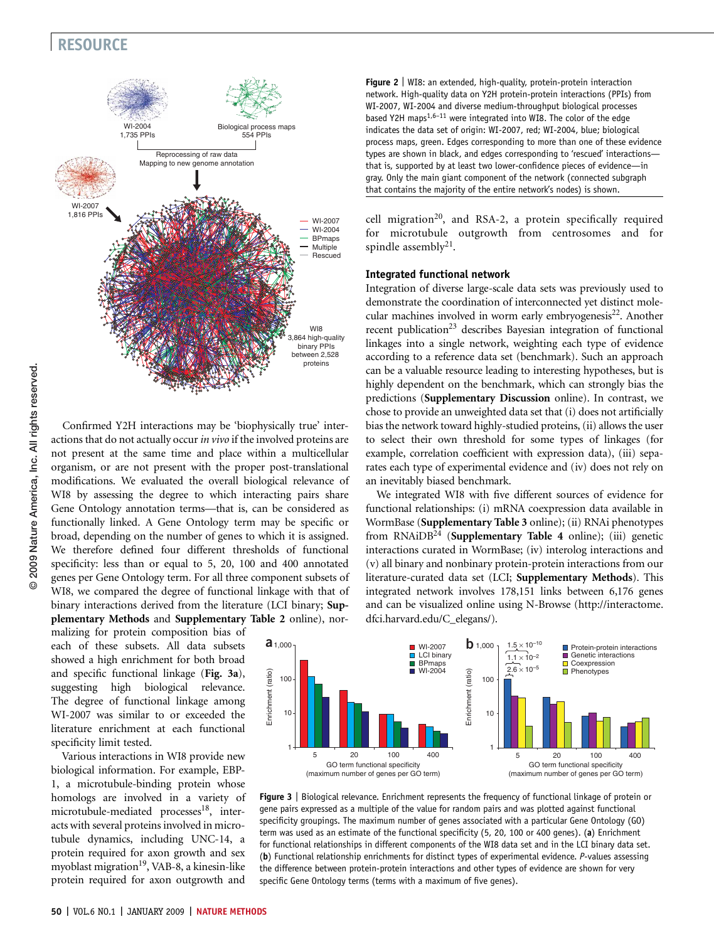

Confirmed Y2H interactions may be 'biophysically true' interactions that do not actually occur in vivo if the involved proteins are not present at the same time and place within a multicellular organism, or are not present with the proper post-translational modifications. We evaluated the overall biological relevance of WI8 by assessing the degree to which interacting pairs share Gene Ontology annotation terms—that is, can be considered as functionally linked. A Gene Ontology term may be specific or broad, depending on the number of genes to which it is assigned. We therefore defined four different thresholds of functional specificity: less than or equal to 5, 20, 100 and 400 annotated genes per Gene Ontology term. For all three component subsets of WI8, we compared the degree of functional linkage with that of binary interactions derived from the literature (LCI binary; Supplementary Methods and Supplementary Table 2 online), nor-

malizing for protein composition bias of each of these subsets. All data subsets showed a high enrichment for both broad and specific functional linkage (Fig. 3a), suggesting high biological relevance. The degree of functional linkage among WI-2007 was similar to or exceeded the literature enrichment at each functional specificity limit tested.

Various interactions in WI8 provide new biological information. For example, EBP-1, a microtubule-binding protein whose homologs are involved in a variety of microtubule-mediated processes $18$ , interacts with several proteins involved in microtubule dynamics, including UNC-14, a protein required for axon growth and sex myoblast migration<sup>19</sup>, VAB-8, a kinesin-like protein required for axon outgrowth and

Figure 2 | WI8: an extended, high-quality, protein-protein interaction network. High-quality data on Y2H protein-protein interactions (PPIs) from WI-2007, WI-2004 and diverse medium-throughput biological processes based Y2H maps $1,6-11$  were integrated into WI8. The color of the edge indicates the data set of origin: WI-2007, red; WI-2004, blue; biological process maps, green. Edges corresponding to more than one of these evidence types are shown in black, and edges corresponding to 'rescued' interactions that is, supported by at least two lower-confidence pieces of evidence—in gray. Only the main giant component of the network (connected subgraph that contains the majority of the entire network's nodes) is shown.

cell migration<sup>[20](#page-7-0)</sup>, and RSA-2, a protein specifically required for microtubule outgrowth from centrosomes and for spindle assembly<sup>21</sup>.

## Integrated functional network

Integration of diverse large-scale data sets was previously used to demonstrate the coordination of interconnected yet distinct molecular machines involved in worm early embryogenesis<sup>22</sup>. Another recent publication<sup>23</sup> describes Bayesian integration of functional linkages into a single network, weighting each type of evidence according to a reference data set (benchmark). Such an approach can be a valuable resource leading to interesting hypotheses, but is highly dependent on the benchmark, which can strongly bias the predictions (Supplementary Discussion online). In contrast, we chose to provide an unweighted data set that (i) does not artificially bias the network toward highly-studied proteins, (ii) allows the user to select their own threshold for some types of linkages (for example, correlation coefficient with expression data), (iii) separates each type of experimental evidence and (iv) does not rely on an inevitably biased benchmark.

We integrated WI8 with five different sources of evidence for functional relationships: (i) mRNA coexpression data available in WormBase (Supplementary Table 3 online); (ii) RNAi phenotypes from RNAiDB<sup>[24](#page-7-0)</sup> (Supplementary Table 4 online); (iii) genetic interactions curated in WormBase; (iv) interolog interactions and (v) all binary and nonbinary protein-protein interactions from our literature-curated data set (LCI; Supplementary Methods). This integrated network involves 178,151 links between 6,176 genes and can be visualized online using N-Browse [\(http://interactome.](http://interactome.dfci.harvard.edu/C_elegans/) [dfci.harvard.edu/C\\_elegans/](http://interactome.dfci.harvard.edu/C_elegans/)).



Figure 3 | Biological relevance. Enrichment represents the frequency of functional linkage of protein or gene pairs expressed as a multiple of the value for random pairs and was plotted against functional specificity groupings. The maximum number of genes associated with a particular Gene Ontology (GO) term was used as an estimate of the functional specificity (5, 20, 100 or 400 genes). (a) Enrichment for functional relationships in different components of the WI8 data set and in the LCI binary data set. (b) Functional relationship enrichments for distinct types of experimental evidence. P-values assessing the difference between protein-protein interactions and other types of evidence are shown for very specific Gene Ontology terms (terms with a maximum of five genes).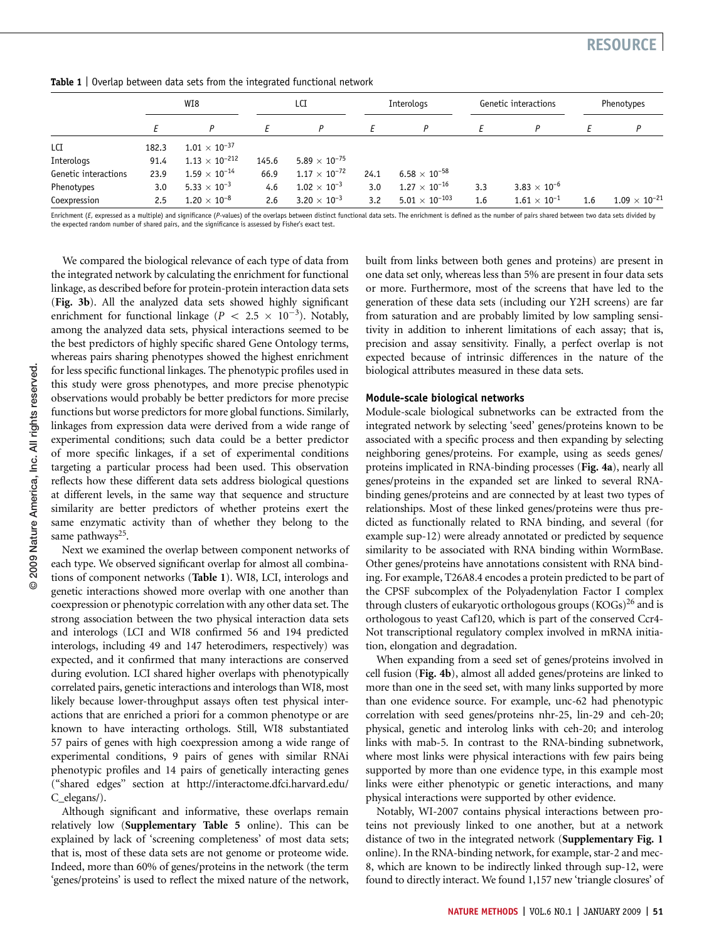|                      | WI8   |                                | LCI   |                        | Interologs |                        | Genetic interactions |                       | Phenotypes |                        |
|----------------------|-------|--------------------------------|-------|------------------------|------------|------------------------|----------------------|-----------------------|------------|------------------------|
|                      |       |                                |       | P                      |            | P                      |                      | Р                     |            | P                      |
| LCI                  | 182.3 | $1.01 \times 10^{-37}$         |       |                        |            |                        |                      |                       |            |                        |
| Interologs           | 91.4  | $1.13\times10^{-212}$          | 145.6 | $5.89 \times 10^{-75}$ |            |                        |                      |                       |            |                        |
| Genetic interactions | 23.9  | $1.59\times10^{-14}$           | 66.9  | $1.17 \times 10^{-72}$ | 24.1       | $6.58 \times 10^{-58}$ |                      |                       |            |                        |
| Phenotypes           | 3.0   | 5.33 $\times$ 10 <sup>-3</sup> | 4.6   | $1.02\times10^{-3}$    | 3.0        | $1.27\times10^{-16}$   | 3.3                  | $3.83 \times 10^{-6}$ |            |                        |
| Coexpression         | 2.5   | $1.20 \times 10^{-8}$          | 2.6   | $3.20 \times 10^{-3}$  | 3.2        | $5.01\times10^{-103}$  | 1.6                  | $1.61\times10^{-1}$   | 1.6        | $1.09 \times 10^{-21}$ |

Table 1 | Overlap between data sets from the integrated functional network

Enrichment (E, expressed as a multiple) and significance (P-values) of the overlaps between distinct functional data sets. The enrichment is defined as the number of pairs shared between two data sets divided by the expected random number of shared pairs, and the significance is assessed by Fisher's exact test.

**©** 2009 Nature America, Inc. All rights reserved. 2009 Nature America, Inc. All rights reserved.

We compared the biological relevance of each type of data from the integrated network by calculating the enrichment for functional linkage, as described before for protein-protein interaction data sets (Fig. 3b). All the analyzed data sets showed highly significant enrichment for functional linkage ( $P < 2.5 \times 10^{-3}$ ). Notably, among the analyzed data sets, physical interactions seemed to be the best predictors of highly specific shared Gene Ontology terms, whereas pairs sharing phenotypes showed the highest enrichment for less specific functional linkages. The phenotypic profiles used in this study were gross phenotypes, and more precise phenotypic observations would probably be better predictors for more precise functions but worse predictors for more global functions. Similarly, linkages from expression data were derived from a wide range of experimental conditions; such data could be a better predictor of more specific linkages, if a set of experimental conditions targeting a particular process had been used. This observation reflects how these different data sets address biological questions at different levels, in the same way that sequence and structure similarity are better predictors of whether proteins exert the same enzymatic activity than of whether they belong to the same pathways $25$ .

Next we examined the overlap between component networks of each type. We observed significant overlap for almost all combinations of component networks (Table 1). WI8, LCI, interologs and genetic interactions showed more overlap with one another than coexpression or phenotypic correlation with any other data set. The strong association between the two physical interaction data sets and interologs (LCI and WI8 confirmed 56 and 194 predicted interologs, including 49 and 147 heterodimers, respectively) was expected, and it confirmed that many interactions are conserved during evolution. LCI shared higher overlaps with phenotypically correlated pairs, genetic interactions and interologs than WI8, most likely because lower-throughput assays often test physical interactions that are enriched a priori for a common phenotype or are known to have interacting orthologs. Still, WI8 substantiated 57 pairs of genes with high coexpression among a wide range of experimental conditions, 9 pairs of genes with similar RNAi phenotypic profiles and 14 pairs of genetically interacting genes (''shared edges'' section at [http://interactome.dfci.harvard.edu/](http://interactome.dfci.harvard.edu/C_elegans/) [C\\_elegans/\)](http://interactome.dfci.harvard.edu/C_elegans/).

Although significant and informative, these overlaps remain relatively low (Supplementary Table 5 online). This can be explained by lack of 'screening completeness' of most data sets; that is, most of these data sets are not genome or proteome wide. Indeed, more than 60% of genes/proteins in the network (the term 'genes/proteins' is used to reflect the mixed nature of the network, built from links between both genes and proteins) are present in one data set only, whereas less than 5% are present in four data sets or more. Furthermore, most of the screens that have led to the generation of these data sets (including our Y2H screens) are far from saturation and are probably limited by low sampling sensitivity in addition to inherent limitations of each assay; that is, precision and assay sensitivity. Finally, a perfect overlap is not expected because of intrinsic differences in the nature of the biological attributes measured in these data sets.

## Module-scale biological networks

Module-scale biological subnetworks can be extracted from the integrated network by selecting 'seed' genes/proteins known to be associated with a specific process and then expanding by selecting neighboring genes/proteins. For example, using as seeds genes/ proteins implicated in RNA-binding processes (Fig. 4a), nearly all genes/proteins in the expanded set are linked to several RNAbinding genes/proteins and are connected by at least two types of relationships. Most of these linked genes/proteins were thus predicted as functionally related to RNA binding, and several (for example sup-12) were already annotated or predicted by sequence similarity to be associated with RNA binding within WormBase. Other genes/proteins have annotations consistent with RNA binding. For example, T26A8.4 encodes a protein predicted to be part of the CPSF subcomplex of the Polyadenylation Factor I complex through clusters of eukaryotic orthologous groups  $(KOGs)^{26}$  and is orthologous to yeast Caf120, which is part of the conserved Ccr4- Not transcriptional regulatory complex involved in mRNA initiation, elongation and degradation.

When expanding from a seed set of genes/proteins involved in cell fusion (Fig. 4b), almost all added genes/proteins are linked to more than one in the seed set, with many links supported by more than one evidence source. For example, unc-62 had phenotypic correlation with seed genes/proteins nhr-25, lin-29 and ceh-20; physical, genetic and interolog links with ceh-20; and interolog links with mab-5. In contrast to the RNA-binding subnetwork, where most links were physical interactions with few pairs being supported by more than one evidence type, in this example most links were either phenotypic or genetic interactions, and many physical interactions were supported by other evidence.

Notably, WI-2007 contains physical interactions between proteins not previously linked to one another, but at a network distance of two in the integrated network (Supplementary Fig. 1 online). In the RNA-binding network, for example, star-2 and mec-8, which are known to be indirectly linked through sup-12, were found to directly interact. We found 1,157 new 'triangle closures' of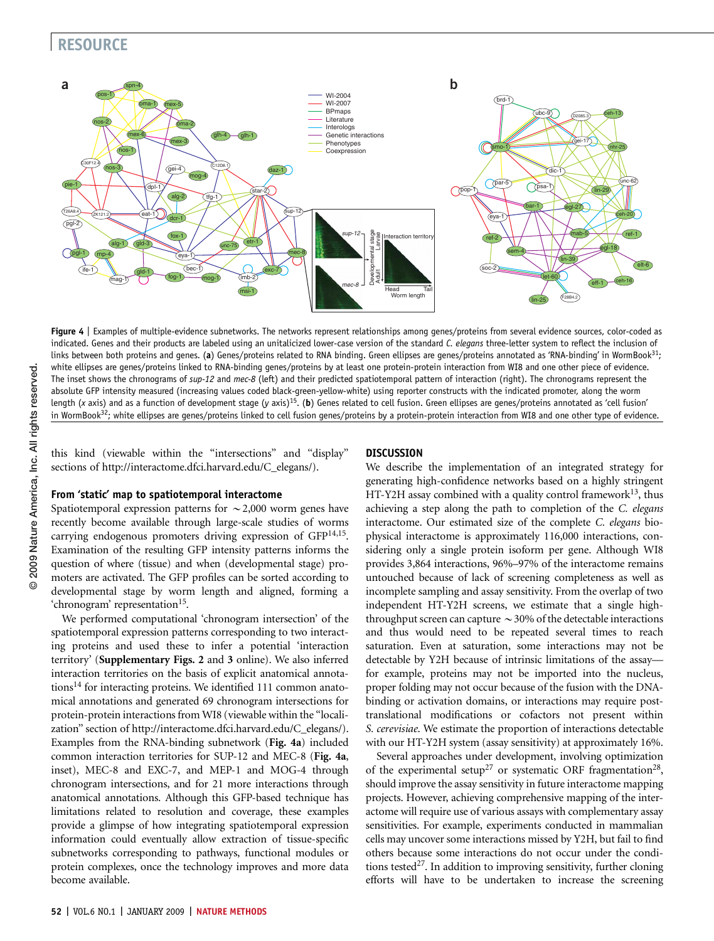

Figure 4 | Examples of multiple-evidence subnetworks. The networks represent relationships among genes/proteins from several evidence sources, color-coded as indicated. Genes and their products are labeled using an unitalicized lower-case version of the standard C. elegans three-letter system to reflect the inclusion of links between both proteins and genes. (a) Genes/proteins related to RNA binding. Green ellipses are genes/proteins annotated as 'RNA-binding' in WormBook<sup>31</sup>; white ellipses are genes/proteins linked to RNA-binding genes/proteins by at least one protein-protein interaction from WI8 and one other piece of evidence. The inset shows the chronograms of sup-12 and mec-8 (left) and their predicted spatiotemporal pattern of interaction (right). The chronograms represent the absolute GFP intensity measured (increasing values coded black-green-yellow-white) using reporter constructs with the indicated promoter, along the worm length (x axis) and as a function of development stage (y axis)<sup>15</sup>. (b) Genes related to cell fusion. Green ellipses are genes/proteins annotated as 'cell fusion' in WormBook<sup>32</sup>; white ellipses are genes/proteins linked to cell fusion genes/proteins by a protein-protein interaction from WI8 and one other type of evidence.

this kind (viewable within the ''intersections'' and ''display'' sections of [http://interactome.dfci.harvard.edu/C\\_elegans/\)](http://interactome.dfci.harvard.edu/C_elegans/).

# From 'static' map to spatiotemporal interactome

Spatiotemporal expression patterns for  $\sim$  2,000 worm genes have recently become available through large-scale studies of worms carrying endogenous promoters driving expression of GFP<sup>14,15</sup>. Examination of the resulting GFP intensity patterns informs the question of where (tissue) and when (developmental stage) promoters are activated. The GFP profiles can be sorted according to developmental stage by worm length and aligned, forming a 'chronogram' representation<sup>15</sup>.

We performed computational 'chronogram intersection' of the spatiotemporal expression patterns corresponding to two interacting proteins and used these to infer a potential 'interaction territory' (Supplementary Figs. 2 and 3 online). We also inferred interaction territories on the basis of explicit anatomical annotations<sup>14</sup> for interacting proteins. We identified 111 common anatomical annotations and generated 69 chronogram intersections for protein-protein interactions from WI8 (viewable within the ''localization'' section of [http://interactome.dfci.harvard.edu/C\\_elegans/](http://interactome.dfci.harvard.edu/C_elegans/)). Examples from the RNA-binding subnetwork (Fig. 4a) included common interaction territories for SUP-12 and MEC-8 (Fig. 4a, inset), MEC-8 and EXC-7, and MEP-1 and MOG-4 through chronogram intersections, and for 21 more interactions through anatomical annotations. Although this GFP-based technique has limitations related to resolution and coverage, these examples provide a glimpse of how integrating spatiotemporal expression information could eventually allow extraction of tissue-specific subnetworks corresponding to pathways, functional modules or protein complexes, once the technology improves and more data become available.

## **DISCUSSION**

We describe the implementation of an integrated strategy for generating high-confidence networks based on a highly stringent HT-Y2H assay combined with a quality control framework<sup>13</sup>, thus achieving a step along the path to completion of the C. elegans interactome. Our estimated size of the complete C. elegans biophysical interactome is approximately 116,000 interactions, considering only a single protein isoform per gene. Although WI8 provides 3,864 interactions, 96%–97% of the interactome remains untouched because of lack of screening completeness as well as incomplete sampling and assay sensitivity. From the overlap of two independent HT-Y2H screens, we estimate that a single highthroughput screen can capture  $\sim$  30% of the detectable interactions and thus would need to be repeated several times to reach saturation. Even at saturation, some interactions may not be detectable by Y2H because of intrinsic limitations of the assay for example, proteins may not be imported into the nucleus, proper folding may not occur because of the fusion with the DNAbinding or activation domains, or interactions may require posttranslational modifications or cofactors not present within S. cerevisiae. We estimate the proportion of interactions detectable with our HT-Y2H system (assay sensitivity) at approximately 16%.

Several approaches under development, involving optimization of the experimental setup<sup>[27](#page-7-0)</sup> or systematic ORF fragmentation<sup>28</sup>, should improve the assay sensitivity in future interactome mapping projects. However, achieving comprehensive mapping of the interactome will require use of various assays with complementary assay sensitivities. For example, experiments conducted in mammalian cells may uncover some interactions missed by Y2H, but fail to find others because some interactions do not occur under the condi-tions tested<sup>[27](#page-7-0)</sup>. In addition to improving sensitivity, further cloning efforts will have to be undertaken to increase the screening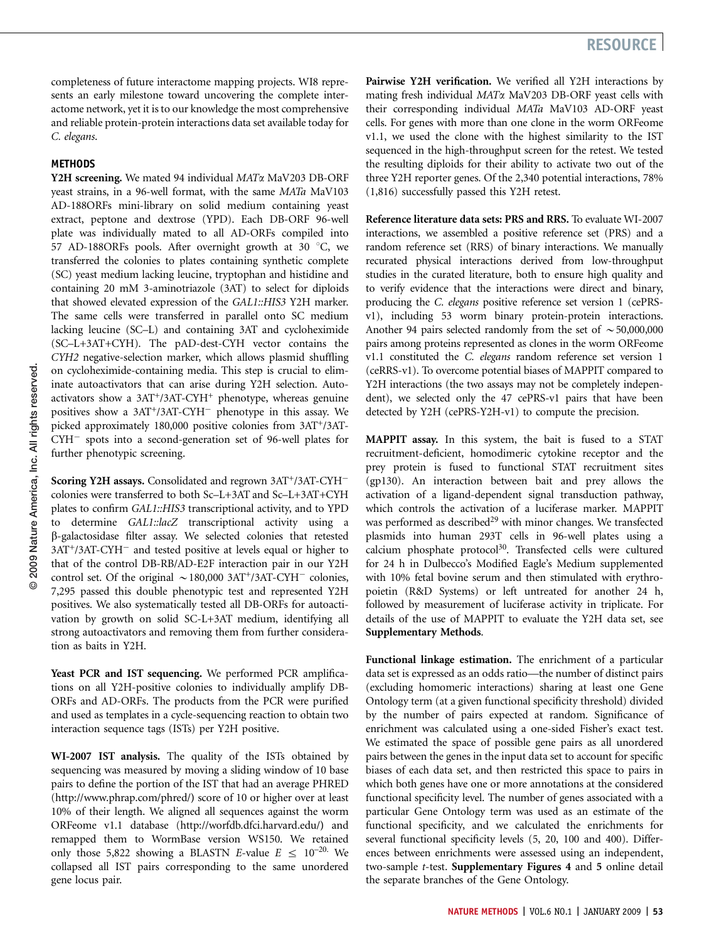# **METHODS**

Y2H screening. We mated 94 individual MAT<sub>a</sub> MaV203 DB-ORF yeast strains, in a 96-well format, with the same MATa MaV103 AD-188ORFs mini-library on solid medium containing yeast extract, peptone and dextrose (YPD). Each DB-ORF 96-well plate was individually mated to all AD-ORFs compiled into 57 AD-188ORFs pools. After overnight growth at 30 °C, we transferred the colonies to plates containing synthetic complete (SC) yeast medium lacking leucine, tryptophan and histidine and containing 20 mM 3-aminotriazole (3AT) to select for diploids that showed elevated expression of the GAL1::HIS3 Y2H marker. The same cells were transferred in parallel onto SC medium lacking leucine (SC–L) and containing 3AT and cycloheximide (SC–L+3AT+CYH). The pAD-dest-CYH vector contains the CYH2 negative-selection marker, which allows plasmid shuffling on cycloheximide-containing media. This step is crucial to eliminate autoactivators that can arise during Y2H selection. Autoactivators show a  $3AT^{+}/3AT-CYH^{+}$  phenotype, whereas genuine positives show a 3AT<sup>+</sup>/3AT-CYH<sup>-</sup> phenotype in this assay. We picked approximately 180,000 positive colonies from 3AT+/3AT-CYH<sup>-</sup> spots into a second-generation set of 96-well plates for further phenotypic screening.

Scoring Y2H assays. Consolidated and regrown 3AT+/3AT-CYH<sup>-</sup> colonies were transferred to both Sc–L+3AT and Sc–L+3AT+CYH plates to confirm GAL1::HIS3 transcriptional activity, and to YPD to determine GAL1::lacZ transcriptional activity using a b-galactosidase filter assay. We selected colonies that retested 3AT<sup>+</sup>/3AT-CYH<sup>-</sup> and tested positive at levels equal or higher to that of the control DB-RB/AD-E2F interaction pair in our Y2H control set. Of the original  $\sim$  180,000 3AT<sup>+</sup>/3AT-CYH<sup>-</sup> colonies, 7,295 passed this double phenotypic test and represented Y2H positives. We also systematically tested all DB-ORFs for autoactivation by growth on solid SC-L+3AT medium, identifying all strong autoactivators and removing them from further consideration as baits in Y2H.

Yeast PCR and IST sequencing. We performed PCR amplifications on all Y2H-positive colonies to individually amplify DB-ORFs and AD-ORFs. The products from the PCR were purified and used as templates in a cycle-sequencing reaction to obtain two interaction sequence tags (ISTs) per Y2H positive.

WI-2007 IST analysis. The quality of the ISTs obtained by sequencing was measured by moving a sliding window of 10 base pairs to define the portion of the IST that had an average PHRED [\(http://www.phrap.com/phred/](http://www.phrap.com/phred/)) score of 10 or higher over at least 10% of their length. We aligned all sequences against the worm ORFeome v1.1 database [\(http://worfdb.dfci.harvard.edu/](http://worfdb.dfci.harvard.edu/)) and remapped them to WormBase version WS150. We retained only those 5,822 showing a BLASTN E-value  $E \le 10^{-20}$ . We collapsed all IST pairs corresponding to the same unordered gene locus pair.

Pairwise Y2H verification. We verified all Y2H interactions by mating fresh individual MATa MaV203 DB-ORF yeast cells with their corresponding individual MATa MaV103 AD-ORF yeast cells. For genes with more than one clone in the worm ORFeome v1.1, we used the clone with the highest similarity to the IST sequenced in the high-throughput screen for the retest. We tested the resulting diploids for their ability to activate two out of the three Y2H reporter genes. Of the 2,340 potential interactions, 78% (1,816) successfully passed this Y2H retest.

Reference literature data sets: PRS and RRS. To evaluate WI-2007 interactions, we assembled a positive reference set (PRS) and a random reference set (RRS) of binary interactions. We manually recurated physical interactions derived from low-throughput studies in the curated literature, both to ensure high quality and to verify evidence that the interactions were direct and binary, producing the C. elegans positive reference set version 1 (cePRSv1), including 53 worm binary protein-protein interactions. Another 94 pairs selected randomly from the set of  $\sim$  50,000,000 pairs among proteins represented as clones in the worm ORFeome v1.1 constituted the C. elegans random reference set version 1 (ceRRS-v1). To overcome potential biases of MAPPIT compared to Y2H interactions (the two assays may not be completely independent), we selected only the 47 cePRS-v1 pairs that have been detected by Y2H (cePRS-Y2H-v1) to compute the precision.

MAPPIT assay. In this system, the bait is fused to a STAT recruitment-deficient, homodimeric cytokine receptor and the prey protein is fused to functional STAT recruitment sites (gp130). An interaction between bait and prey allows the activation of a ligand-dependent signal transduction pathway, which controls the activation of a luciferase marker. MAPPIT was performed as described<sup>29</sup> with minor changes. We transfected plasmids into human 293T cells in 96-well plates using a calcium phosphate protocol $30$ . Transfected cells were cultured for 24 h in Dulbecco's Modified Eagle's Medium supplemented with 10% fetal bovine serum and then stimulated with erythropoietin (R&D Systems) or left untreated for another 24 h, followed by measurement of luciferase activity in triplicate. For details of the use of MAPPIT to evaluate the Y2H data set, see Supplementary Methods.

Functional linkage estimation. The enrichment of a particular data set is expressed as an odds ratio—the number of distinct pairs (excluding homomeric interactions) sharing at least one Gene Ontology term (at a given functional specificity threshold) divided by the number of pairs expected at random. Significance of enrichment was calculated using a one-sided Fisher's exact test. We estimated the space of possible gene pairs as all unordered pairs between the genes in the input data set to account for specific biases of each data set, and then restricted this space to pairs in which both genes have one or more annotations at the considered functional specificity level. The number of genes associated with a particular Gene Ontology term was used as an estimate of the functional specificity, and we calculated the enrichments for several functional specificity levels (5, 20, 100 and 400). Differences between enrichments were assessed using an independent, two-sample t-test. Supplementary Figures 4 and 5 online detail the separate branches of the Gene Ontology.